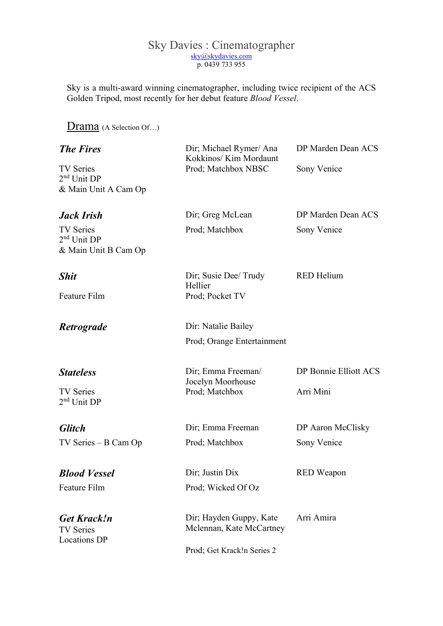## Sky Davies : Cinematographer sky@skydavies.com p. 0439 733 955

Sky is a multi-award winning cinematographer, including twice recipient of the ACS Golden Tripod, most recently for her debut feature Blood Vessel.

## Drama (A Selection Of...)

| <b>The Fires</b>                                              | Dir; Michael Rymer/ Ana<br>Kokkinos/ Kim Mordaunt   | DP Marden Dean ACS<br>Sony Venice |  |
|---------------------------------------------------------------|-----------------------------------------------------|-----------------------------------|--|
| <b>TV Series</b><br>$2nd$ Unit DP<br>& Main Unit A Cam Op     | Prod; Matchbox NBSC                                 |                                   |  |
| <b>Jack Irish</b>                                             | Dir; Greg McLean                                    | DP Marden Dean ACS                |  |
| <b>TV</b> Series<br>$2nd$ Unit DP<br>& Main Unit B Cam Op     | Prod; Matchbox                                      | Sony Venice                       |  |
| <b>Shit</b>                                                   | Dir; Susie Dee/ Trudy<br>Hellier                    | <b>RED</b> Helium                 |  |
| Feature Film                                                  | Prod; Pocket TV                                     |                                   |  |
| Retrograde                                                    | Dir: Natalie Bailey                                 |                                   |  |
|                                                               | Prod; Orange Entertainment                          |                                   |  |
| <b>Stateless</b>                                              | Dir; Emma Freeman/<br>Jocelyn Moorhouse             | DP Bonnie Elliott ACS             |  |
| <b>TV Series</b><br>$2nd$ Unit DP                             | Prod; Matchbox                                      | Arri Mini                         |  |
| <b>Glitch</b>                                                 | Dir; Emma Freeman                                   | DP Aaron McClisky                 |  |
| $TV$ Series $- B$ Cam Op                                      | Prod; Matchbox                                      | Sony Venice                       |  |
| <b>Blood Vessel</b>                                           | Dir; Justin Dix                                     | <b>RED</b> Weapon                 |  |
| Feature Film                                                  | Prod; Wicked Of Oz                                  |                                   |  |
| <b>Get Krack!n</b><br><b>TV Series</b><br><b>Locations DP</b> | Dir; Hayden Guppy, Kate<br>Mclennan, Kate McCartney | Arri Amira                        |  |
|                                                               | Prod; Get Krack!n Series 2                          |                                   |  |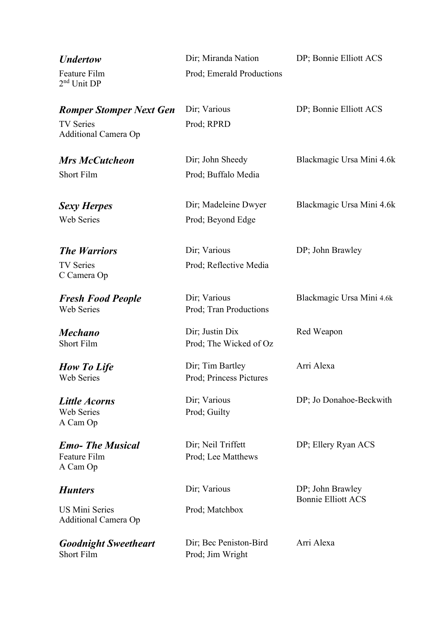| <b><i>Undertow</i></b>                                | Dir; Miranda Nation                         | DP; Bonnie Elliott ACS                        |  |
|-------------------------------------------------------|---------------------------------------------|-----------------------------------------------|--|
| Feature Film<br>2 <sup>nd</sup> Unit DP               | Prod; Emerald Productions                   |                                               |  |
| <b>Romper Stomper Next Gen</b>                        | Dir; Various                                | DP; Bonnie Elliott ACS                        |  |
| <b>TV Series</b><br>Additional Camera Op              | Prod; RPRD                                  |                                               |  |
| <b>Mrs McCutcheon</b>                                 | Dir; John Sheedy                            | Blackmagic Ursa Mini 4.6k                     |  |
| <b>Short Film</b>                                     | Prod; Buffalo Media                         |                                               |  |
| <b>Sexy Herpes</b>                                    | Dir; Madeleine Dwyer                        | Blackmagic Ursa Mini 4.6k                     |  |
| <b>Web Series</b>                                     | Prod; Beyond Edge                           |                                               |  |
| <b>The Warriors</b>                                   | Dir; Various                                | DP; John Brawley                              |  |
| <b>TV Series</b><br>C Camera Op                       | Prod; Reflective Media                      |                                               |  |
| <b>Fresh Food People</b><br><b>Web Series</b>         | Dir; Various<br>Prod; Tran Productions      | Blackmagic Ursa Mini 4.6k                     |  |
| <b>Mechano</b><br><b>Short Film</b>                   | Dir; Justin Dix<br>Prod; The Wicked of Oz   | Red Weapon                                    |  |
| <b>How To Life</b><br><b>Web Series</b>               | Dir; Tim Bartley<br>Prod; Princess Pictures | Arri Alexa                                    |  |
| <b>Little Acorns</b><br><b>Web Series</b><br>A Cam Op | Dir; Various<br>Prod; Guilty                | DP; Jo Donahoe-Beckwith                       |  |
| <b>Emo-The Musical</b><br>Feature Film<br>A Cam Op    | Dir; Neil Triffett<br>Prod; Lee Matthews    | DP; Ellery Ryan ACS                           |  |
| <b>Hunters</b>                                        | Dir; Various                                | DP; John Brawley<br><b>Bonnie Elliott ACS</b> |  |
| <b>US Mini Series</b><br>Additional Camera Op         | Prod; Matchbox                              |                                               |  |
| <b>Goodnight Sweetheart</b><br><b>Short Film</b>      | Dir; Bec Peniston-Bird<br>Prod; Jim Wright  | Arri Alexa                                    |  |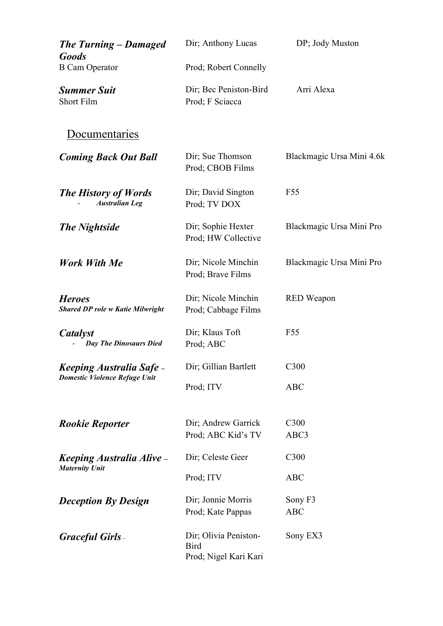| <b>The Turning – Damaged</b><br><b>Goods</b>                          | Dir; Anthony Lucas                                            | DP; Jody Muston           |
|-----------------------------------------------------------------------|---------------------------------------------------------------|---------------------------|
| <b>B</b> Cam Operator                                                 | Prod; Robert Connelly                                         |                           |
| <b>Summer Suit</b><br><b>Short Film</b>                               | Dir; Bec Peniston-Bird<br>Prod; F Sciacca                     | Arri Alexa                |
| Documentaries                                                         |                                                               |                           |
| <b>Coming Back Out Ball</b>                                           | Dir; Sue Thomson<br>Prod; CBOB Films                          | Blackmagic Ursa Mini 4.6k |
| <b>The History of Words</b><br><b>Australian Leg</b>                  | Dir; David Sington<br>Prod; TV DOX                            | F <sub>55</sub>           |
| <b>The Nightside</b>                                                  | Dir; Sophie Hexter<br>Prod; HW Collective                     | Blackmagic Ursa Mini Pro  |
| Work With Me                                                          | Dir; Nicole Minchin<br>Prod; Brave Films                      | Blackmagic Ursa Mini Pro  |
| <b>Heroes</b><br><b>Shared DP role w Katie Milwright</b>              | Dir; Nicole Minchin<br>Prod; Cabbage Films                    | <b>RED</b> Weapon         |
| Catalyst<br><b>Day The Dinosaurs Died</b>                             | Dir; Klaus Toft<br>Prod; ABC                                  | F <sub>55</sub>           |
| <b>Keeping Australia Safe</b><br><b>Domestic Violence Refuge Unit</b> | Dir; Gillian Bartlett                                         | C <sub>3</sub> 00         |
|                                                                       | Prod; ITV                                                     | <b>ABC</b>                |
| <b>Rookie Reporter</b>                                                | Dir; Andrew Garrick                                           | C <sub>3</sub> 00         |
|                                                                       | Prod; ABC Kid's TV                                            | ABC3                      |
| Keeping Australia Alive -<br><b>Maternity Unit</b>                    | Dir; Celeste Geer                                             | C <sub>3</sub> 00         |
|                                                                       | Prod; ITV                                                     | <b>ABC</b>                |
| <b>Deception By Design</b>                                            | Dir; Jonnie Morris                                            | Sony F3                   |
|                                                                       | Prod; Kate Pappas                                             | <b>ABC</b>                |
| <b>Graceful Girls</b>                                                 | Dir; Olivia Peniston-<br><b>Bird</b><br>Prod; Nigel Kari Kari | Sony EX3                  |